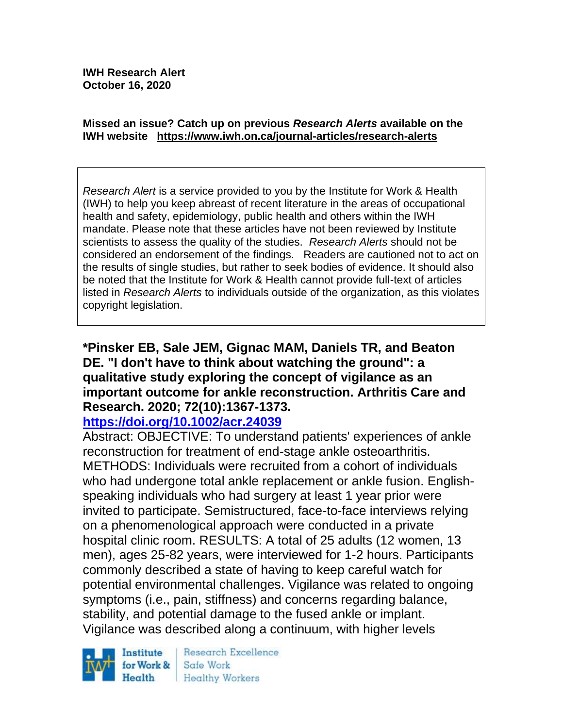#### **Missed an issue? Catch up on previous** *Research Alerts* **available on the [IWH website](http://www.iwh.on.ca/research-alerts) <https://www.iwh.on.ca/journal-articles/research-alerts>**

*Research Alert* is a service provided to you by the Institute for Work & Health (IWH) to help you keep abreast of recent literature in the areas of occupational health and safety, epidemiology, public health and others within the IWH mandate. Please note that these articles have not been reviewed by Institute scientists to assess the quality of the studies. *Research Alerts* should not be considered an endorsement of the findings. Readers are cautioned not to act on the results of single studies, but rather to seek bodies of evidence. It should also be noted that the Institute for Work & Health cannot provide full-text of articles listed in *Research Alerts* to individuals outside of the organization, as this violates copyright legislation.

# **\*Pinsker EB, Sale JEM, Gignac MAM, Daniels TR, and Beaton DE. "I don't have to think about watching the ground": a qualitative study exploring the concept of vigilance as an important outcome for ankle reconstruction. Arthritis Care and Research. 2020; 72(10):1367-1373.**

### **<https://doi.org/10.1002/acr.24039>**

Abstract: OBJECTIVE: To understand patients' experiences of ankle reconstruction for treatment of end-stage ankle osteoarthritis. METHODS: Individuals were recruited from a cohort of individuals who had undergone total ankle replacement or ankle fusion. Englishspeaking individuals who had surgery at least 1 year prior were invited to participate. Semistructured, face-to-face interviews relying on a phenomenological approach were conducted in a private hospital clinic room. RESULTS: A total of 25 adults (12 women, 13 men), ages 25-82 years, were interviewed for 1-2 hours. Participants commonly described a state of having to keep careful watch for potential environmental challenges. Vigilance was related to ongoing symptoms (i.e., pain, stiffness) and concerns regarding balance, stability, and potential damage to the fused ankle or implant. Vigilance was described along a continuum, with higher levels



Research Excellence Safe Work Healthy Workers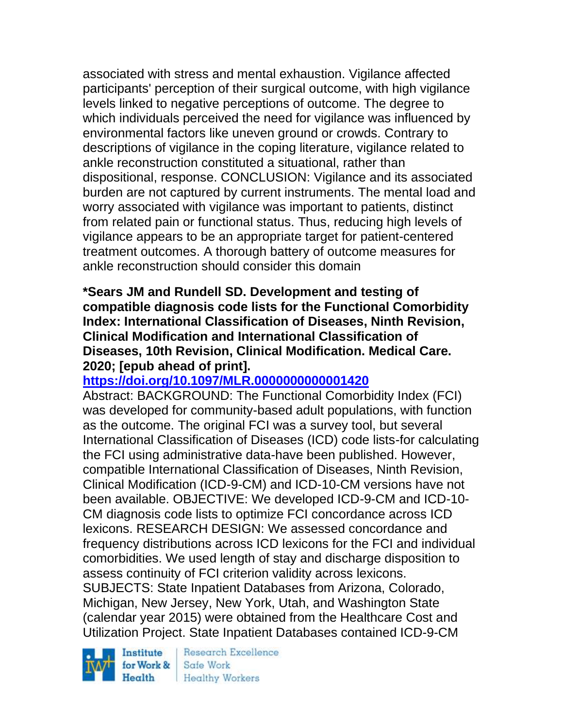associated with stress and mental exhaustion. Vigilance affected participants' perception of their surgical outcome, with high vigilance levels linked to negative perceptions of outcome. The degree to which individuals perceived the need for vigilance was influenced by environmental factors like uneven ground or crowds. Contrary to descriptions of vigilance in the coping literature, vigilance related to ankle reconstruction constituted a situational, rather than dispositional, response. CONCLUSION: Vigilance and its associated burden are not captured by current instruments. The mental load and worry associated with vigilance was important to patients, distinct from related pain or functional status. Thus, reducing high levels of vigilance appears to be an appropriate target for patient-centered treatment outcomes. A thorough battery of outcome measures for ankle reconstruction should consider this domain

**\*Sears JM and Rundell SD. Development and testing of compatible diagnosis code lists for the Functional Comorbidity Index: International Classification of Diseases, Ninth Revision, Clinical Modification and International Classification of Diseases, 10th Revision, Clinical Modification. Medical Care. 2020; [epub ahead of print].**

# **<https://doi.org/10.1097/MLR.0000000000001420>**

Abstract: BACKGROUND: The Functional Comorbidity Index (FCI) was developed for community-based adult populations, with function as the outcome. The original FCI was a survey tool, but several International Classification of Diseases (ICD) code lists-for calculating the FCI using administrative data-have been published. However, compatible International Classification of Diseases, Ninth Revision, Clinical Modification (ICD-9-CM) and ICD-10-CM versions have not been available. OBJECTIVE: We developed ICD-9-CM and ICD-10- CM diagnosis code lists to optimize FCI concordance across ICD lexicons. RESEARCH DESIGN: We assessed concordance and frequency distributions across ICD lexicons for the FCI and individual comorbidities. We used length of stay and discharge disposition to assess continuity of FCI criterion validity across lexicons. SUBJECTS: State Inpatient Databases from Arizona, Colorado, Michigan, New Jersey, New York, Utah, and Washington State (calendar year 2015) were obtained from the Healthcare Cost and Utilization Project. State Inpatient Databases contained ICD-9-CM

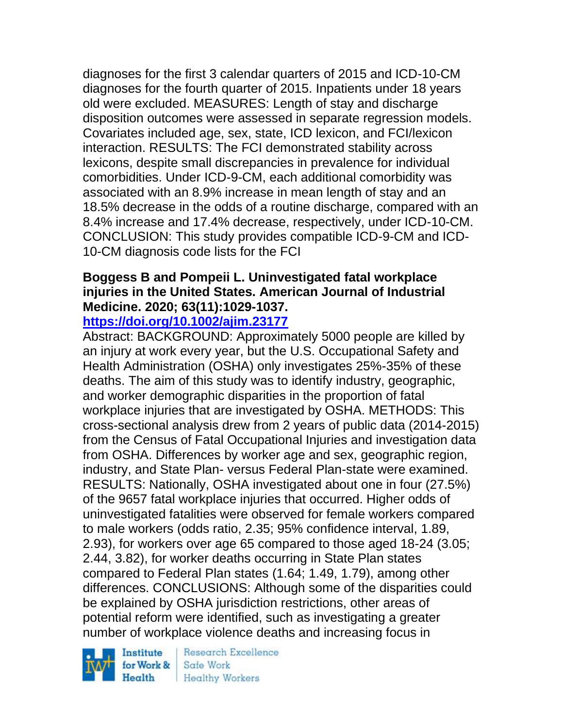diagnoses for the first 3 calendar quarters of 2015 and ICD-10-CM diagnoses for the fourth quarter of 2015. Inpatients under 18 years old were excluded. MEASURES: Length of stay and discharge disposition outcomes were assessed in separate regression models. Covariates included age, sex, state, ICD lexicon, and FCI/lexicon interaction. RESULTS: The FCI demonstrated stability across lexicons, despite small discrepancies in prevalence for individual comorbidities. Under ICD-9-CM, each additional comorbidity was associated with an 8.9% increase in mean length of stay and an 18.5% decrease in the odds of a routine discharge, compared with an 8.4% increase and 17.4% decrease, respectively, under ICD-10-CM. CONCLUSION: This study provides compatible ICD-9-CM and ICD-10-CM diagnosis code lists for the FCI

# **Boggess B and Pompeii L. Uninvestigated fatal workplace injuries in the United States. American Journal of Industrial Medicine. 2020; 63(11):1029-1037.**

### **<https://doi.org/10.1002/ajim.23177>**

Abstract: BACKGROUND: Approximately 5000 people are killed by an injury at work every year, but the U.S. Occupational Safety and Health Administration (OSHA) only investigates 25%-35% of these deaths. The aim of this study was to identify industry, geographic, and worker demographic disparities in the proportion of fatal workplace injuries that are investigated by OSHA. METHODS: This cross-sectional analysis drew from 2 years of public data (2014-2015) from the Census of Fatal Occupational Injuries and investigation data from OSHA. Differences by worker age and sex, geographic region, industry, and State Plan- versus Federal Plan-state were examined. RESULTS: Nationally, OSHA investigated about one in four (27.5%) of the 9657 fatal workplace injuries that occurred. Higher odds of uninvestigated fatalities were observed for female workers compared to male workers (odds ratio, 2.35; 95% confidence interval, 1.89, 2.93), for workers over age 65 compared to those aged 18-24 (3.05; 2.44, 3.82), for worker deaths occurring in State Plan states compared to Federal Plan states (1.64; 1.49, 1.79), among other differences. CONCLUSIONS: Although some of the disparities could be explained by OSHA jurisdiction restrictions, other areas of potential reform were identified, such as investigating a greater number of workplace violence deaths and increasing focus in

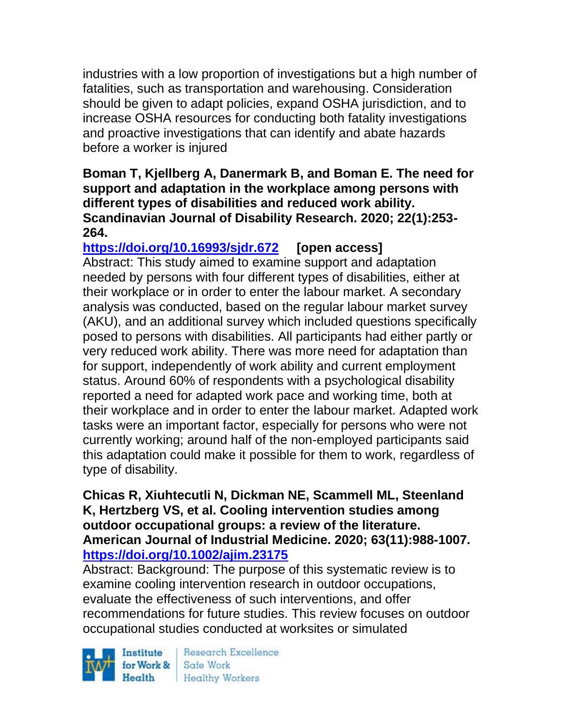industries with a low proportion of investigations but a high number of fatalities, such as transportation and warehousing. Consideration should be given to adapt policies, expand OSHA jurisdiction, and to increase OSHA resources for conducting both fatality investigations and proactive investigations that can identify and abate hazards before a worker is injured

### **Boman T, Kjellberg A, Danermark B, and Boman E. The need for support and adaptation in the workplace among persons with different types of disabilities and reduced work ability. Scandinavian Journal of Disability Research. 2020; 22(1):253- 264.**

**<https://doi.org/10.16993/sjdr.672> [open access]** Abstract: This study aimed to examine support and adaptation needed by persons with four different types of disabilities, either at their workplace or in order to enter the labour market. A secondary analysis was conducted, based on the regular labour market survey (AKU), and an additional survey which included questions specifically posed to persons with disabilities. All participants had either partly or very reduced work ability. There was more need for adaptation than for support, independently of work ability and current employment status. Around 60% of respondents with a psychological disability reported a need for adapted work pace and working time, both at their workplace and in order to enter the labour market. Adapted work tasks were an important factor, especially for persons who were not currently working; around half of the non-employed participants said this adaptation could make it possible for them to work, regardless of type of disability.

### **Chicas R, Xiuhtecutli N, Dickman NE, Scammell ML, Steenland K, Hertzberg VS, et al. Cooling intervention studies among outdoor occupational groups: a review of the literature. American Journal of Industrial Medicine. 2020; 63(11):988-1007. <https://doi.org/10.1002/ajim.23175>**

Abstract: Background: The purpose of this systematic review is to examine cooling intervention research in outdoor occupations, evaluate the effectiveness of such interventions, and offer recommendations for future studies. This review focuses on outdoor occupational studies conducted at worksites or simulated

Institute Health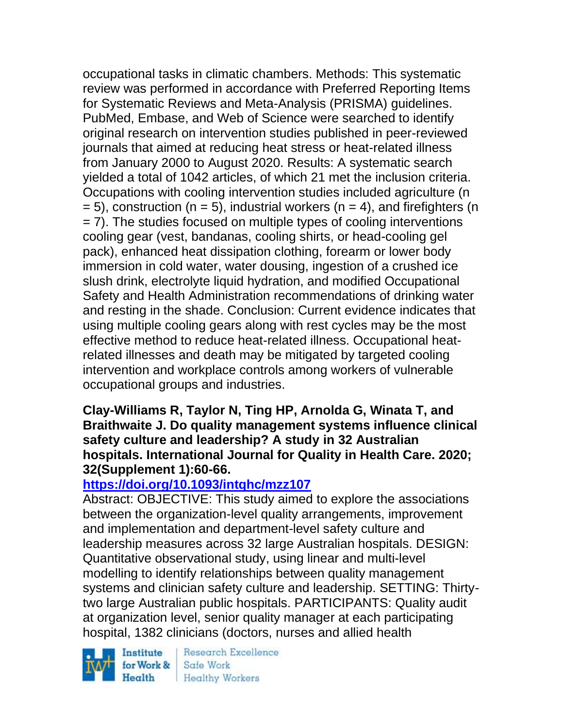occupational tasks in climatic chambers. Methods: This systematic review was performed in accordance with Preferred Reporting Items for Systematic Reviews and Meta-Analysis (PRISMA) guidelines. PubMed, Embase, and Web of Science were searched to identify original research on intervention studies published in peer-reviewed journals that aimed at reducing heat stress or heat-related illness from January 2000 to August 2020. Results: A systematic search yielded a total of 1042 articles, of which 21 met the inclusion criteria. Occupations with cooling intervention studies included agriculture (n  $= 5$ ), construction (n  $= 5$ ), industrial workers (n  $= 4$ ), and firefighters (n = 7). The studies focused on multiple types of cooling interventions cooling gear (vest, bandanas, cooling shirts, or head-cooling gel pack), enhanced heat dissipation clothing, forearm or lower body immersion in cold water, water dousing, ingestion of a crushed ice slush drink, electrolyte liquid hydration, and modified Occupational Safety and Health Administration recommendations of drinking water and resting in the shade. Conclusion: Current evidence indicates that using multiple cooling gears along with rest cycles may be the most effective method to reduce heat-related illness. Occupational heatrelated illnesses and death may be mitigated by targeted cooling intervention and workplace controls among workers of vulnerable occupational groups and industries.

### **Clay-Williams R, Taylor N, Ting HP, Arnolda G, Winata T, and Braithwaite J. Do quality management systems influence clinical safety culture and leadership? A study in 32 Australian hospitals. International Journal for Quality in Health Care. 2020; 32(Supplement 1):60-66.**

# **<https://doi.org/10.1093/intqhc/mzz107>**

Abstract: OBJECTIVE: This study aimed to explore the associations between the organization-level quality arrangements, improvement and implementation and department-level safety culture and leadership measures across 32 large Australian hospitals. DESIGN: Quantitative observational study, using linear and multi-level modelling to identify relationships between quality management systems and clinician safety culture and leadership. SETTING: Thirtytwo large Australian public hospitals. PARTICIPANTS: Quality audit at organization level, senior quality manager at each participating hospital, 1382 clinicians (doctors, nurses and allied health

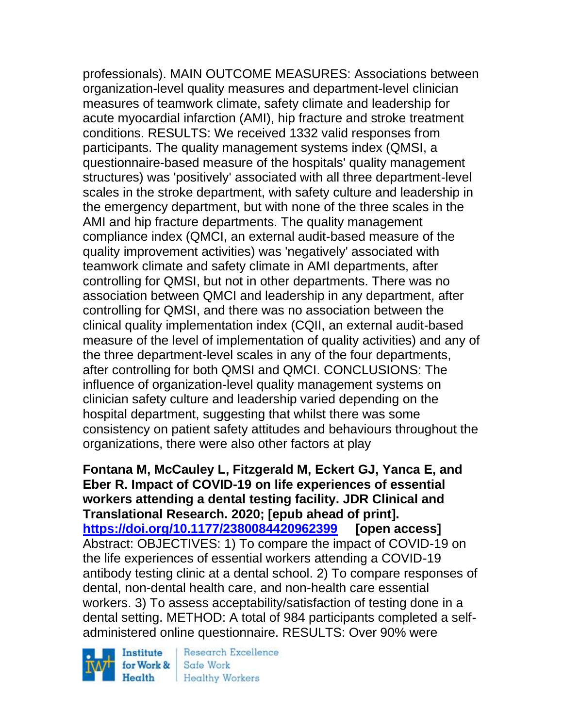professionals). MAIN OUTCOME MEASURES: Associations between organization-level quality measures and department-level clinician measures of teamwork climate, safety climate and leadership for acute myocardial infarction (AMI), hip fracture and stroke treatment conditions. RESULTS: We received 1332 valid responses from participants. The quality management systems index (QMSI, a questionnaire-based measure of the hospitals' quality management structures) was 'positively' associated with all three department-level scales in the stroke department, with safety culture and leadership in the emergency department, but with none of the three scales in the AMI and hip fracture departments. The quality management compliance index (QMCI, an external audit-based measure of the quality improvement activities) was 'negatively' associated with teamwork climate and safety climate in AMI departments, after controlling for QMSI, but not in other departments. There was no association between QMCI and leadership in any department, after controlling for QMSI, and there was no association between the clinical quality implementation index (CQII, an external audit-based measure of the level of implementation of quality activities) and any of the three department-level scales in any of the four departments, after controlling for both QMSI and QMCI. CONCLUSIONS: The influence of organization-level quality management systems on clinician safety culture and leadership varied depending on the hospital department, suggesting that whilst there was some consistency on patient safety attitudes and behaviours throughout the organizations, there were also other factors at play

**Fontana M, McCauley L, Fitzgerald M, Eckert GJ, Yanca E, and Eber R. Impact of COVID-19 on life experiences of essential workers attending a dental testing facility. JDR Clinical and Translational Research. 2020; [epub ahead of print]. <https://doi.org/10.1177/2380084420962399> [open access]** Abstract: OBJECTIVES: 1) To compare the impact of COVID-19 on the life experiences of essential workers attending a COVID-19 antibody testing clinic at a dental school. 2) To compare responses of dental, non-dental health care, and non-health care essential workers. 3) To assess acceptability/satisfaction of testing done in a dental setting. METHOD: A total of 984 participants completed a selfadministered online questionnaire. RESULTS: Over 90% were

Institute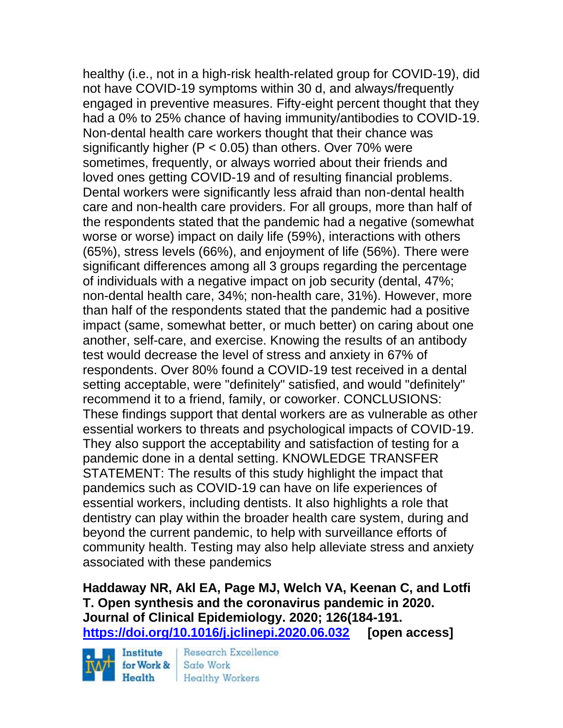healthy (i.e., not in a high-risk health-related group for COVID-19), did not have COVID-19 symptoms within 30 d, and always/frequently engaged in preventive measures. Fifty-eight percent thought that they had a 0% to 25% chance of having immunity/antibodies to COVID-19. Non-dental health care workers thought that their chance was significantly higher ( $P < 0.05$ ) than others. Over 70% were sometimes, frequently, or always worried about their friends and loved ones getting COVID-19 and of resulting financial problems. Dental workers were significantly less afraid than non-dental health care and non-health care providers. For all groups, more than half of the respondents stated that the pandemic had a negative (somewhat worse or worse) impact on daily life (59%), interactions with others (65%), stress levels (66%), and enjoyment of life (56%). There were significant differences among all 3 groups regarding the percentage of individuals with a negative impact on job security (dental, 47%; non-dental health care, 34%; non-health care, 31%). However, more than half of the respondents stated that the pandemic had a positive impact (same, somewhat better, or much better) on caring about one another, self-care, and exercise. Knowing the results of an antibody test would decrease the level of stress and anxiety in 67% of respondents. Over 80% found a COVID-19 test received in a dental setting acceptable, were "definitely" satisfied, and would "definitely" recommend it to a friend, family, or coworker. CONCLUSIONS: These findings support that dental workers are as vulnerable as other essential workers to threats and psychological impacts of COVID-19. They also support the acceptability and satisfaction of testing for a pandemic done in a dental setting. KNOWLEDGE TRANSFER STATEMENT: The results of this study highlight the impact that pandemics such as COVID-19 can have on life experiences of essential workers, including dentists. It also highlights a role that dentistry can play within the broader health care system, during and beyond the current pandemic, to help with surveillance efforts of community health. Testing may also help alleviate stress and anxiety associated with these pandemics

**Haddaway NR, Akl EA, Page MJ, Welch VA, Keenan C, and Lotfi T. Open synthesis and the coronavirus pandemic in 2020. Journal of Clinical Epidemiology. 2020; 126(184-191. <https://doi.org/10.1016/j.jclinepi.2020.06.032> [open access]**

Institute for Work & Health

**Research Excellence** Safe Work **Healthy Workers**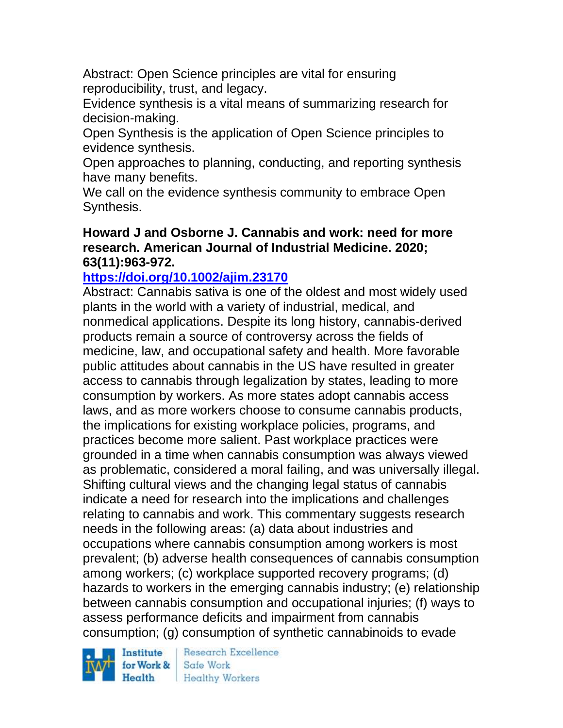Abstract: Open Science principles are vital for ensuring reproducibility, trust, and legacy.

Evidence synthesis is a vital means of summarizing research for decision-making.

Open Synthesis is the application of Open Science principles to evidence synthesis.

Open approaches to planning, conducting, and reporting synthesis have many benefits.

We call on the evidence synthesis community to embrace Open Synthesis.

### **Howard J and Osborne J. Cannabis and work: need for more research. American Journal of Industrial Medicine. 2020; 63(11):963-972.**

# **<https://doi.org/10.1002/ajim.23170>**

Abstract: Cannabis sativa is one of the oldest and most widely used plants in the world with a variety of industrial, medical, and nonmedical applications. Despite its long history, cannabis-derived products remain a source of controversy across the fields of medicine, law, and occupational safety and health. More favorable public attitudes about cannabis in the US have resulted in greater access to cannabis through legalization by states, leading to more consumption by workers. As more states adopt cannabis access laws, and as more workers choose to consume cannabis products, the implications for existing workplace policies, programs, and practices become more salient. Past workplace practices were grounded in a time when cannabis consumption was always viewed as problematic, considered a moral failing, and was universally illegal. Shifting cultural views and the changing legal status of cannabis indicate a need for research into the implications and challenges relating to cannabis and work. This commentary suggests research needs in the following areas: (a) data about industries and occupations where cannabis consumption among workers is most prevalent; (b) adverse health consequences of cannabis consumption among workers; (c) workplace supported recovery programs; (d) hazards to workers in the emerging cannabis industry; (e) relationship between cannabis consumption and occupational injuries; (f) ways to assess performance deficits and impairment from cannabis consumption; (g) consumption of synthetic cannabinoids to evade

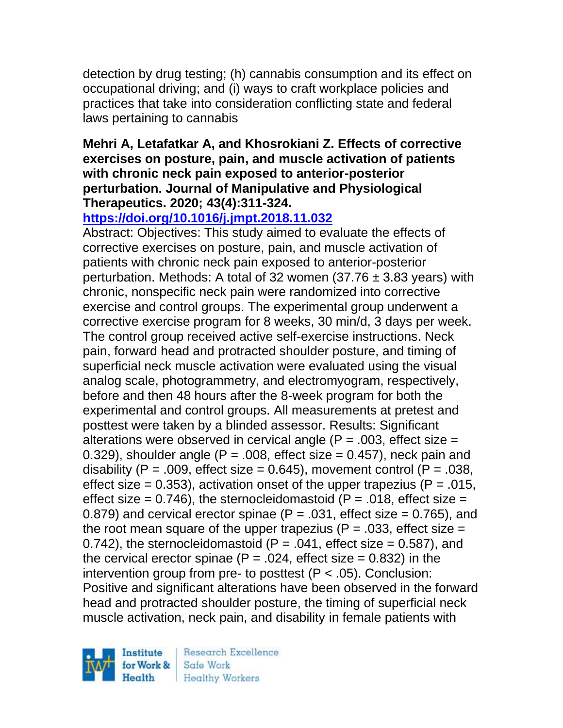detection by drug testing; (h) cannabis consumption and its effect on occupational driving; and (i) ways to craft workplace policies and practices that take into consideration conflicting state and federal laws pertaining to cannabis

### **Mehri A, Letafatkar A, and Khosrokiani Z. Effects of corrective exercises on posture, pain, and muscle activation of patients with chronic neck pain exposed to anterior-posterior perturbation. Journal of Manipulative and Physiological Therapeutics. 2020; 43(4):311-324.**

# **<https://doi.org/10.1016/j.jmpt.2018.11.032>**

Abstract: Objectives: This study aimed to evaluate the effects of corrective exercises on posture, pain, and muscle activation of patients with chronic neck pain exposed to anterior-posterior perturbation. Methods: A total of 32 women  $(37.76 \pm 3.83 \,\mathrm{years})$  with chronic, nonspecific neck pain were randomized into corrective exercise and control groups. The experimental group underwent a corrective exercise program for 8 weeks, 30 min/d, 3 days per week. The control group received active self-exercise instructions. Neck pain, forward head and protracted shoulder posture, and timing of superficial neck muscle activation were evaluated using the visual analog scale, photogrammetry, and electromyogram, respectively, before and then 48 hours after the 8-week program for both the experimental and control groups. All measurements at pretest and posttest were taken by a blinded assessor. Results: Significant alterations were observed in cervical angle  $(P = .003,$  effect size  $=$ 0.329), shoulder angle  $(P = .008$ , effect size  $= 0.457$ ), neck pain and disability (P = .009, effect size = 0.645), movement control (P = .038, effect size = 0.353), activation onset of the upper trapezius ( $P = 0.015$ , effect size =  $0.746$ ), the sternocleidomastoid (P =  $.018$ , effect size = 0.879) and cervical erector spinae ( $P = 0.031$ , effect size = 0.765), and the root mean square of the upper trapezius ( $P = 0.033$ , effect size  $=$ 0.742), the sternocleidomastoid ( $P = 0.041$ , effect size = 0.587), and the cervical erector spinae ( $P = 0.024$ , effect size = 0.832) in the intervention group from pre- to posttest  $(P < .05)$ . Conclusion: Positive and significant alterations have been observed in the forward head and protracted shoulder posture, the timing of superficial neck muscle activation, neck pain, and disability in female patients with

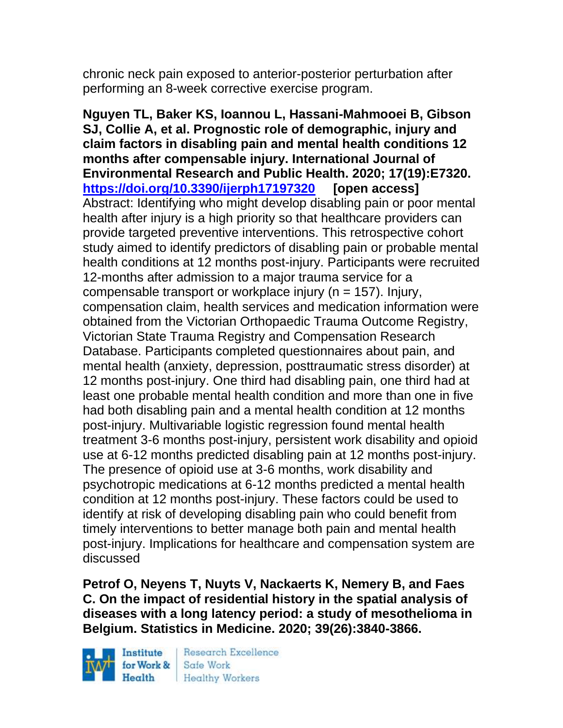chronic neck pain exposed to anterior-posterior perturbation after performing an 8-week corrective exercise program.

**Nguyen TL, Baker KS, Ioannou L, Hassani-Mahmooei B, Gibson SJ, Collie A, et al. Prognostic role of demographic, injury and claim factors in disabling pain and mental health conditions 12 months after compensable injury. International Journal of Environmental Research and Public Health. 2020; 17(19):E7320. <https://doi.org/10.3390/ijerph17197320> [open access]** Abstract: Identifying who might develop disabling pain or poor mental health after injury is a high priority so that healthcare providers can provide targeted preventive interventions. This retrospective cohort study aimed to identify predictors of disabling pain or probable mental health conditions at 12 months post-injury. Participants were recruited 12-months after admission to a major trauma service for a compensable transport or workplace injury (n = 157). Injury, compensation claim, health services and medication information were obtained from the Victorian Orthopaedic Trauma Outcome Registry, Victorian State Trauma Registry and Compensation Research Database. Participants completed questionnaires about pain, and mental health (anxiety, depression, posttraumatic stress disorder) at 12 months post-injury. One third had disabling pain, one third had at least one probable mental health condition and more than one in five had both disabling pain and a mental health condition at 12 months post-injury. Multivariable logistic regression found mental health treatment 3-6 months post-injury, persistent work disability and opioid use at 6-12 months predicted disabling pain at 12 months post-injury. The presence of opioid use at 3-6 months, work disability and psychotropic medications at 6-12 months predicted a mental health condition at 12 months post-injury. These factors could be used to identify at risk of developing disabling pain who could benefit from timely interventions to better manage both pain and mental health post-injury. Implications for healthcare and compensation system are discussed

**Petrof O, Neyens T, Nuyts V, Nackaerts K, Nemery B, and Faes C. On the impact of residential history in the spatial analysis of diseases with a long latency period: a study of mesothelioma in Belgium. Statistics in Medicine. 2020; 39(26):3840-3866.** 

Institute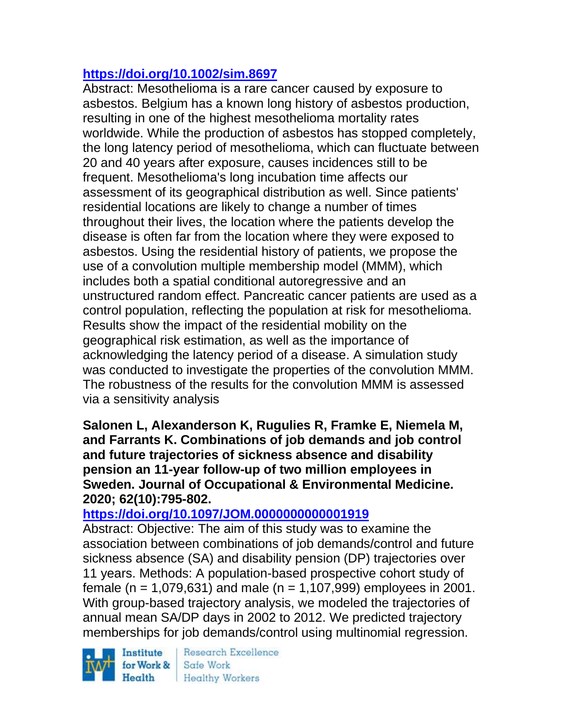# **<https://doi.org/10.1002/sim.8697>**

Abstract: Mesothelioma is a rare cancer caused by exposure to asbestos. Belgium has a known long history of asbestos production, resulting in one of the highest mesothelioma mortality rates worldwide. While the production of asbestos has stopped completely, the long latency period of mesothelioma, which can fluctuate between 20 and 40 years after exposure, causes incidences still to be frequent. Mesothelioma's long incubation time affects our assessment of its geographical distribution as well. Since patients' residential locations are likely to change a number of times throughout their lives, the location where the patients develop the disease is often far from the location where they were exposed to asbestos. Using the residential history of patients, we propose the use of a convolution multiple membership model (MMM), which includes both a spatial conditional autoregressive and an unstructured random effect. Pancreatic cancer patients are used as a control population, reflecting the population at risk for mesothelioma. Results show the impact of the residential mobility on the geographical risk estimation, as well as the importance of acknowledging the latency period of a disease. A simulation study was conducted to investigate the properties of the convolution MMM. The robustness of the results for the convolution MMM is assessed via a sensitivity analysis

**Salonen L, Alexanderson K, Rugulies R, Framke E, Niemela M, and Farrants K. Combinations of job demands and job control and future trajectories of sickness absence and disability pension an 11-year follow-up of two million employees in Sweden. Journal of Occupational & Environmental Medicine. 2020; 62(10):795-802.** 

# **<https://doi.org/10.1097/JOM.0000000000001919>**

Abstract: Objective: The aim of this study was to examine the association between combinations of job demands/control and future sickness absence (SA) and disability pension (DP) trajectories over 11 years. Methods: A population-based prospective cohort study of female (n = 1,079,631) and male (n = 1,107,999) employees in 2001. With group-based trajectory analysis, we modeled the trajectories of annual mean SA/DP days in 2002 to 2012. We predicted trajectory memberships for job demands/control using multinomial regression.

Institute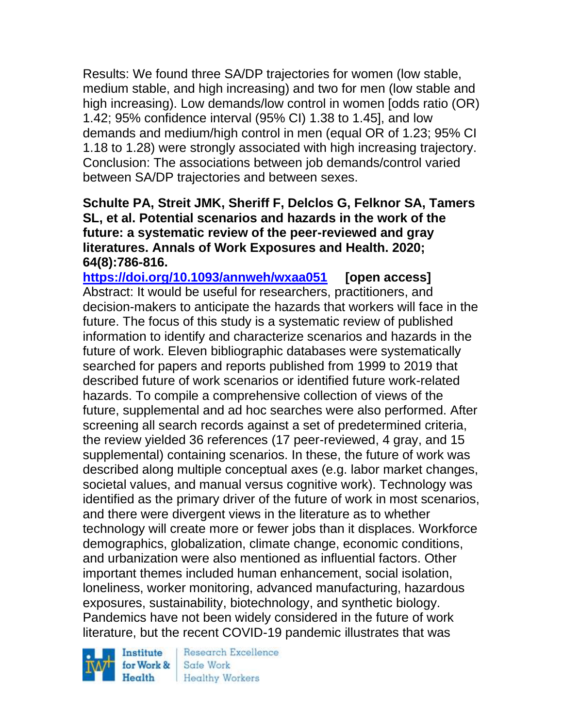Results: We found three SA/DP trajectories for women (low stable, medium stable, and high increasing) and two for men (low stable and high increasing). Low demands/low control in women [odds ratio (OR) 1.42; 95% confidence interval (95% CI) 1.38 to 1.45], and low demands and medium/high control in men (equal OR of 1.23; 95% CI 1.18 to 1.28) were strongly associated with high increasing trajectory. Conclusion: The associations between job demands/control varied between SA/DP trajectories and between sexes.

### **Schulte PA, Streit JMK, Sheriff F, Delclos G, Felknor SA, Tamers SL, et al. Potential scenarios and hazards in the work of the future: a systematic review of the peer-reviewed and gray literatures. Annals of Work Exposures and Health. 2020; 64(8):786-816.**

**<https://doi.org/10.1093/annweh/wxaa051> [open access]** Abstract: It would be useful for researchers, practitioners, and decision-makers to anticipate the hazards that workers will face in the future. The focus of this study is a systematic review of published information to identify and characterize scenarios and hazards in the future of work. Eleven bibliographic databases were systematically searched for papers and reports published from 1999 to 2019 that described future of work scenarios or identified future work-related hazards. To compile a comprehensive collection of views of the future, supplemental and ad hoc searches were also performed. After screening all search records against a set of predetermined criteria, the review yielded 36 references (17 peer-reviewed, 4 gray, and 15 supplemental) containing scenarios. In these, the future of work was described along multiple conceptual axes (e.g. labor market changes, societal values, and manual versus cognitive work). Technology was identified as the primary driver of the future of work in most scenarios, and there were divergent views in the literature as to whether technology will create more or fewer jobs than it displaces. Workforce demographics, globalization, climate change, economic conditions, and urbanization were also mentioned as influential factors. Other important themes included human enhancement, social isolation, loneliness, worker monitoring, advanced manufacturing, hazardous exposures, sustainability, biotechnology, and synthetic biology. Pandemics have not been widely considered in the future of work literature, but the recent COVID-19 pandemic illustrates that was



Research Excellence Safe Work **Healthy Workers**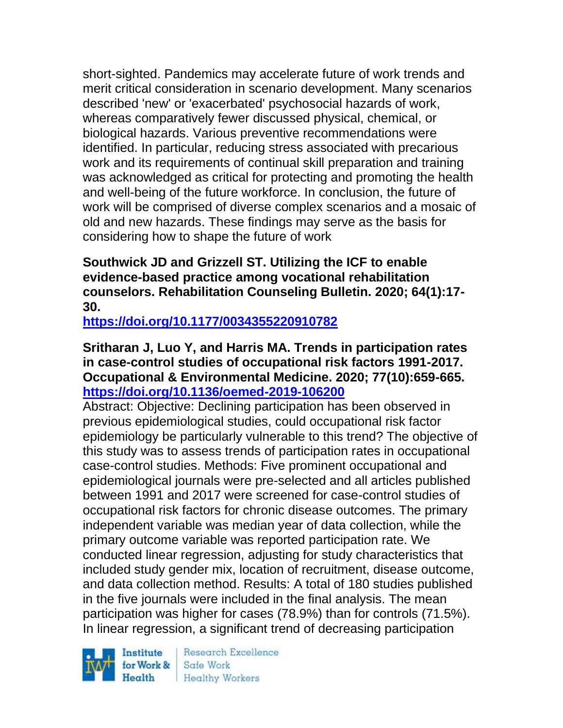short-sighted. Pandemics may accelerate future of work trends and merit critical consideration in scenario development. Many scenarios described 'new' or 'exacerbated' psychosocial hazards of work, whereas comparatively fewer discussed physical, chemical, or biological hazards. Various preventive recommendations were identified. In particular, reducing stress associated with precarious work and its requirements of continual skill preparation and training was acknowledged as critical for protecting and promoting the health and well-being of the future workforce. In conclusion, the future of work will be comprised of diverse complex scenarios and a mosaic of old and new hazards. These findings may serve as the basis for considering how to shape the future of work

# **Southwick JD and Grizzell ST. Utilizing the ICF to enable evidence-based practice among vocational rehabilitation counselors. Rehabilitation Counseling Bulletin. 2020; 64(1):17- 30.**

**<https://doi.org/10.1177/0034355220910782>** 

### **Sritharan J, Luo Y, and Harris MA. Trends in participation rates in case-control studies of occupational risk factors 1991-2017. Occupational & Environmental Medicine. 2020; 77(10):659-665. <https://doi.org/10.1136/oemed-2019-106200>**

Abstract: Objective: Declining participation has been observed in previous epidemiological studies, could occupational risk factor epidemiology be particularly vulnerable to this trend? The objective of this study was to assess trends of participation rates in occupational case-control studies. Methods: Five prominent occupational and epidemiological journals were pre-selected and all articles published between 1991 and 2017 were screened for case-control studies of occupational risk factors for chronic disease outcomes. The primary independent variable was median year of data collection, while the primary outcome variable was reported participation rate. We conducted linear regression, adjusting for study characteristics that included study gender mix, location of recruitment, disease outcome, and data collection method. Results: A total of 180 studies published in the five journals were included in the final analysis. The mean participation was higher for cases (78.9%) than for controls (71.5%). In linear regression, a significant trend of decreasing participation

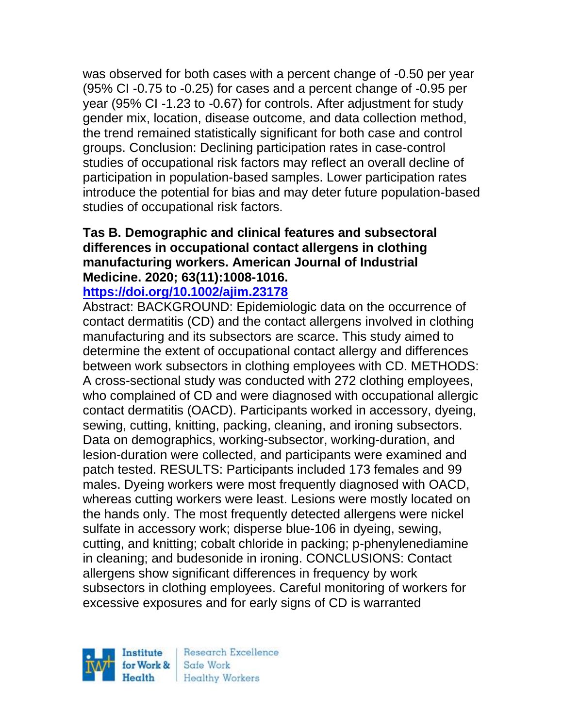was observed for both cases with a percent change of -0.50 per year (95% CI -0.75 to -0.25) for cases and a percent change of -0.95 per year (95% CI -1.23 to -0.67) for controls. After adjustment for study gender mix, location, disease outcome, and data collection method, the trend remained statistically significant for both case and control groups. Conclusion: Declining participation rates in case-control studies of occupational risk factors may reflect an overall decline of participation in population-based samples. Lower participation rates introduce the potential for bias and may deter future population-based studies of occupational risk factors.

### **Tas B. Demographic and clinical features and subsectoral differences in occupational contact allergens in clothing manufacturing workers. American Journal of Industrial Medicine. 2020; 63(11):1008-1016.**

#### **<https://doi.org/10.1002/ajim.23178>**

Abstract: BACKGROUND: Epidemiologic data on the occurrence of contact dermatitis (CD) and the contact allergens involved in clothing manufacturing and its subsectors are scarce. This study aimed to determine the extent of occupational contact allergy and differences between work subsectors in clothing employees with CD. METHODS: A cross-sectional study was conducted with 272 clothing employees, who complained of CD and were diagnosed with occupational allergic contact dermatitis (OACD). Participants worked in accessory, dyeing, sewing, cutting, knitting, packing, cleaning, and ironing subsectors. Data on demographics, working-subsector, working-duration, and lesion-duration were collected, and participants were examined and patch tested. RESULTS: Participants included 173 females and 99 males. Dyeing workers were most frequently diagnosed with OACD, whereas cutting workers were least. Lesions were mostly located on the hands only. The most frequently detected allergens were nickel sulfate in accessory work; disperse blue-106 in dyeing, sewing, cutting, and knitting; cobalt chloride in packing; p-phenylenediamine in cleaning; and budesonide in ironing. CONCLUSIONS: Contact allergens show significant differences in frequency by work subsectors in clothing employees. Careful monitoring of workers for excessive exposures and for early signs of CD is warranted